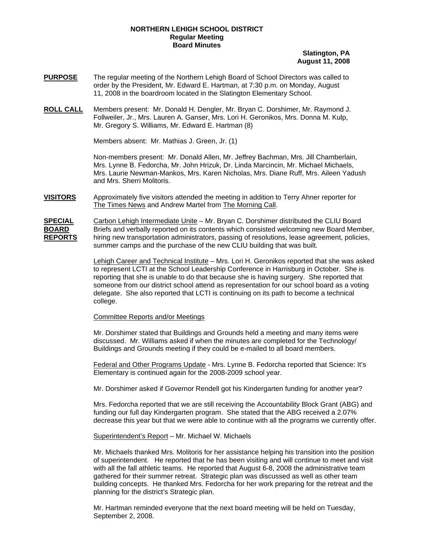# **NORTHERN LEHIGH SCHOOL DISTRICT Regular Meeting Board Minutes**

# **Slatington, PA August 11, 2008**

- **PURPOSE** The regular meeting of the Northern Lehigh Board of School Directors was called to order by the President, Mr. Edward E. Hartman, at 7:30 p.m. on Monday, August 11, 2008 in the boardroom located in the Slatington Elementary School.
- **ROLL CALL** Members present: Mr. Donald H. Dengler, Mr. Bryan C. Dorshimer, Mr. Raymond J. Follweiler, Jr., Mrs. Lauren A. Ganser, Mrs. Lori H. Geronikos, Mrs. Donna M. Kulp, Mr. Gregory S. Williams, Mr. Edward E. Hartman (8)

Members absent: Mr. Mathias J. Green, Jr. (1)

Non-members present: Mr. Donald Allen, Mr. Jeffrey Bachman, Mrs. Jill Chamberlain, Mrs. Lynne B. Fedorcha, Mr. John Hrizuk, Dr. Linda Marcincin, Mr. Michael Michaels, Mrs. Laurie Newman-Mankos, Mrs. Karen Nicholas, Mrs. Diane Ruff, Mrs. Aileen Yadush and Mrs. Sherri Molitoris.

**VISITORS** Approximately five visitors attended the meeting in addition to Terry Ahner reporter for The Times News and Andrew Martel from The Morning Call.

**SPECIAL** Carbon Lehigh Intermediate Unite – Mr. Bryan C. Dorshimer distributed the CLIU Board **BOARD** Briefs and verbally reported on its contents which consisted welcoming new Board Member, **REPORTS** hiring new transportation administrators, passing of resolutions, lease agreement, policies, summer camps and the purchase of the new CLIU building that was built.

> Lehigh Career and Technical Institute – Mrs. Lori H. Geronikos reported that she was asked to represent LCTI at the School Leadership Conference in Harrisburg in October. She is reporting that she is unable to do that because she is having surgery. She reported that someone from our district school attend as representation for our school board as a voting delegate. She also reported that LCTI is continuing on its path to become a technical college.

# Committee Reports and/or Meetings

Mr. Dorshimer stated that Buildings and Grounds held a meeting and many items were discussed. Mr. Williams asked if when the minutes are completed for the Technology/ Buildings and Grounds meeting if they could be e-mailed to all board members.

Federal and Other Programs Update - Mrs. Lynne B. Fedorcha reported that Science: It's Elementary is continued again for the 2008-2009 school year.

Mr. Dorshimer asked if Governor Rendell got his Kindergarten funding for another year?

Mrs. Fedorcha reported that we are still receiving the Accountability Block Grant (ABG) and funding our full day Kindergarten program. She stated that the ABG received a 2.07% decrease this year but that we were able to continue with all the programs we currently offer.

### Superintendent's Report – Mr. Michael W. Michaels

 Mr. Michaels thanked Mrs. Molitoris for her assistance helping his transition into the position of superintendent. He reported that he has been visiting and will continue to meet and visit with all the fall athletic teams. He reported that August 6-8, 2008 the administrative team gathered for their summer retreat. Strategic plan was discussed as well as other team building concepts. He thanked Mrs. Fedorcha for her work preparing for the retreat and the planning for the district's Strategic plan.

 Mr. Hartman reminded everyone that the next board meeting will be held on Tuesday, September 2, 2008.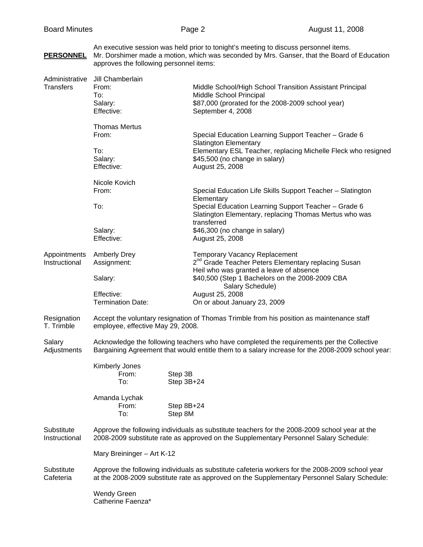An executive session was held prior to tonight's meeting to discuss personnel items.

# **PERSONNEL** Mr. Dorshimer made a motion, which was seconded by Mrs. Ganser, that the Board of Education approves the following personnel items: Administrative Jill Chamberlain Transfers From: Middle School/High School Transition Assistant Principal To: Middle School Principal Salary:  $$87,000$  (prorated for the 2008-2009 school year) Effective: September 4, 2008 Thomas Mertus From: Special Education Learning Support Teacher – Grade 6 Slatington Elementary To: Elementary ESL Teacher, replacing Michelle Fleck who resigned Salary:  $$45,500$  (no change in salary) Effective: August 25, 2008 Nicole Kovich From: Special Education Life Skills Support Teacher – Slatington **Elementary**  To: Special Education Learning Support Teacher – Grade 6 Slatington Elementary, replacing Thomas Mertus who was transferred Salary:  $$46,300$  (no change in salary) Effective: August 25, 2008 AppointmentsAmberly Drey Temporary Vacancy Replacement Instructional Assignment: 2<sup>nd</sup> Grade Teacher Peters Elementary replacing Susan Heil who was granted a leave of absence Salary:  $$40,500$  (Step 1 Bachelors on the 2008-2009 CBA Salary Schedule) Effective: August 25, 2008 Termination Date: On or about January 23, 2009 Resignation Accept the voluntary resignation of Thomas Trimble from his position as maintenance staff T. Trimble employee, effective May 29, 2008. Salary **Acknowledge the following teachers who have completed the requirements per the Collective** Adjustments Bargaining Agreement that would entitle them to a salary increase for the 2008-2009 school year: Kimberly Jones From: Step 3B To: Step 3B+24 Amanda Lychak From: Step 8B+24 To: Step 8M Substitute Approve the following individuals as substitute teachers for the 2008-2009 school year at the Instructional 2008-2009 substitute rate as approved on the Supplementary Personnel Salary Schedule: Mary Breininger – Art K-12 Substitute Approve the following individuals as substitute cafeteria workers for the 2008-2009 school year Cafeteria at the 2008-2009 substitute rate as approved on the Supplementary Personnel Salary Schedule: Wendy Green

Catherine Faenza\*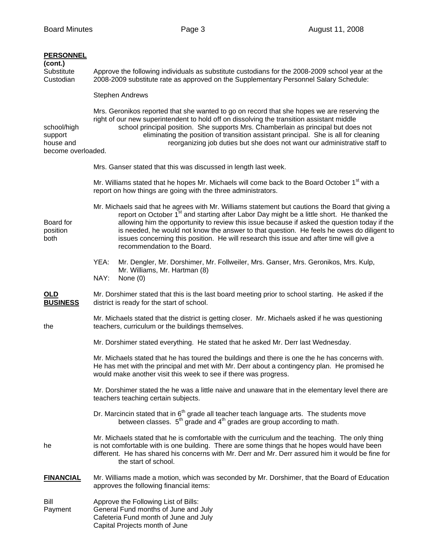| <b>PERSONNEL</b><br>(cont.)<br>Substitute<br>Custodian    | Approve the following individuals as substitute custodians for the 2008-2009 school year at the<br>2008-2009 substitute rate as approved on the Supplementary Personnel Salary Schedule:                                                                                                                                                                                                                                                                                                                                            |
|-----------------------------------------------------------|-------------------------------------------------------------------------------------------------------------------------------------------------------------------------------------------------------------------------------------------------------------------------------------------------------------------------------------------------------------------------------------------------------------------------------------------------------------------------------------------------------------------------------------|
|                                                           | <b>Stephen Andrews</b>                                                                                                                                                                                                                                                                                                                                                                                                                                                                                                              |
| school/high<br>support<br>house and<br>become overloaded. | Mrs. Geronikos reported that she wanted to go on record that she hopes we are reserving the<br>right of our new superintendent to hold off on dissolving the transition assistant middle<br>school principal position. She supports Mrs. Chamberlain as principal but does not<br>eliminating the position of transition assistant principal. She is all for cleaning<br>reorganizing job duties but she does not want our administrative staff to                                                                                  |
|                                                           | Mrs. Ganser stated that this was discussed in length last week.                                                                                                                                                                                                                                                                                                                                                                                                                                                                     |
|                                                           | Mr. Williams stated that he hopes Mr. Michaels will come back to the Board October 1 <sup>st</sup> with a<br>report on how things are going with the three administrators.                                                                                                                                                                                                                                                                                                                                                          |
| Board for<br>position<br>both                             | Mr. Michaels said that he agrees with Mr. Williams statement but cautions the Board that giving a<br>report on October 1 <sup>st</sup> and starting after Labor Day might be a little short. He thanked the<br>allowing him the opportunity to review this issue because if asked the question today if the<br>is needed, he would not know the answer to that question. He feels he owes do diligent to<br>issues concerning this position. He will research this issue and after time will give a<br>recommendation to the Board. |
|                                                           | YEA:<br>Mr. Dengler, Mr. Dorshimer, Mr. Follweiler, Mrs. Ganser, Mrs. Geronikos, Mrs. Kulp,<br>Mr. Williams, Mr. Hartman (8)<br>NAY:<br>None $(0)$                                                                                                                                                                                                                                                                                                                                                                                  |
| OLD<br><b>BUSINESS</b>                                    | Mr. Dorshimer stated that this is the last board meeting prior to school starting. He asked if the<br>district is ready for the start of school.                                                                                                                                                                                                                                                                                                                                                                                    |
| the                                                       | Mr. Michaels stated that the district is getting closer. Mr. Michaels asked if he was questioning<br>teachers, curriculum or the buildings themselves.                                                                                                                                                                                                                                                                                                                                                                              |
|                                                           | Mr. Dorshimer stated everything. He stated that he asked Mr. Derr last Wednesday.                                                                                                                                                                                                                                                                                                                                                                                                                                                   |
|                                                           | Mr. Michaels stated that he has toured the buildings and there is one the he has concerns with.<br>He has met with the principal and met with Mr. Derr about a contingency plan. He promised he<br>would make another visit this week to see if there was progress.                                                                                                                                                                                                                                                                 |
|                                                           | Mr. Dorshimer stated the he was a little naive and unaware that in the elementary level there are<br>teachers teaching certain subjects.                                                                                                                                                                                                                                                                                                                                                                                            |
|                                                           | Dr. Marcincin stated that in 6 <sup>th</sup> grade all teacher teach language arts. The students move<br>between classes. 5 <sup>th</sup> grade and 4 <sup>th</sup> grades are group according to math.                                                                                                                                                                                                                                                                                                                             |
| he                                                        | Mr. Michaels stated that he is comfortable with the curriculum and the teaching. The only thing<br>is not comfortable with is one building. There are some things that he hopes would have been<br>different. He has shared his concerns with Mr. Derr and Mr. Derr assured him it would be fine for<br>the start of school.                                                                                                                                                                                                        |
| <b>FINANCIAL</b>                                          | Mr. Williams made a motion, which was seconded by Mr. Dorshimer, that the Board of Education<br>approves the following financial items:                                                                                                                                                                                                                                                                                                                                                                                             |
| Bill<br>Payment                                           | Approve the Following List of Bills:<br>General Fund months of June and July<br>Cafeteria Fund month of June and July                                                                                                                                                                                                                                                                                                                                                                                                               |

Capital Projects month of June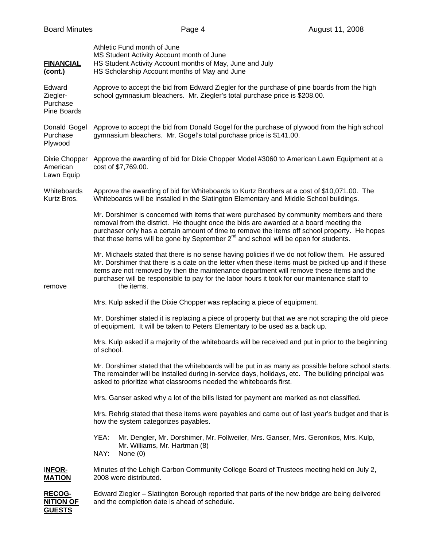| <b>FINANCIAL</b><br>(cont.)                   | Athletic Fund month of June<br>MS Student Activity Account month of June<br>HS Student Activity Account months of May, June and July<br>HS Scholarship Account months of May and June                                                                                                                                                                                                                          |
|-----------------------------------------------|----------------------------------------------------------------------------------------------------------------------------------------------------------------------------------------------------------------------------------------------------------------------------------------------------------------------------------------------------------------------------------------------------------------|
| Edward<br>Ziegler-<br>Purchase<br>Pine Boards | Approve to accept the bid from Edward Ziegler for the purchase of pine boards from the high<br>school gymnasium bleachers. Mr. Ziegler's total purchase price is \$208.00.                                                                                                                                                                                                                                     |
| Donald Gogel<br>Purchase<br>Plywood           | Approve to accept the bid from Donald Gogel for the purchase of plywood from the high school<br>gymnasium bleachers. Mr. Gogel's total purchase price is \$141.00.                                                                                                                                                                                                                                             |
| Dixie Chopper<br>American<br>Lawn Equip       | Approve the awarding of bid for Dixie Chopper Model #3060 to American Lawn Equipment at a<br>cost of \$7,769.00.                                                                                                                                                                                                                                                                                               |
| Whiteboards<br>Kurtz Bros.                    | Approve the awarding of bid for Whiteboards to Kurtz Brothers at a cost of \$10,071.00. The<br>Whiteboards will be installed in the Slatington Elementary and Middle School buildings.                                                                                                                                                                                                                         |
|                                               | Mr. Dorshimer is concerned with items that were purchased by community members and there<br>removal from the district. He thought once the bids are awarded at a board meeting the<br>purchaser only has a certain amount of time to remove the items off school property. He hopes<br>that these items will be gone by September 2 <sup>nd</sup> and school will be open for students.                        |
| remove                                        | Mr. Michaels stated that there is no sense having policies if we do not follow them. He assured<br>Mr. Dorshimer that there is a date on the letter when these items must be picked up and if these<br>items are not removed by then the maintenance department will remove these items and the<br>purchaser will be responsible to pay for the labor hours it took for our maintenance staff to<br>the items. |
|                                               | Mrs. Kulp asked if the Dixie Chopper was replacing a piece of equipment.                                                                                                                                                                                                                                                                                                                                       |
|                                               | Mr. Dorshimer stated it is replacing a piece of property but that we are not scraping the old piece<br>of equipment. It will be taken to Peters Elementary to be used as a back up.                                                                                                                                                                                                                            |
|                                               | Mrs. Kulp asked if a majority of the whiteboards will be received and put in prior to the beginning<br>of school.                                                                                                                                                                                                                                                                                              |
|                                               | Mr. Dorshimer stated that the whiteboards will be put in as many as possible before school starts.<br>The remainder will be installed during in-service days, holidays, etc. The building principal was<br>asked to prioritize what classrooms needed the whiteboards first.                                                                                                                                   |
|                                               | Mrs. Ganser asked why a lot of the bills listed for payment are marked as not classified.                                                                                                                                                                                                                                                                                                                      |
|                                               | Mrs. Rehrig stated that these items were payables and came out of last year's budget and that is<br>how the system categorizes payables.                                                                                                                                                                                                                                                                       |
|                                               | YEA:<br>Mr. Dengler, Mr. Dorshimer, Mr. Follweiler, Mrs. Ganser, Mrs. Geronikos, Mrs. Kulp,<br>Mr. Williams, Mr. Hartman (8)<br>NAY:<br>None $(0)$                                                                                                                                                                                                                                                             |
| <b>INFOR-</b><br><b>MATION</b>                | Minutes of the Lehigh Carbon Community College Board of Trustees meeting held on July 2,<br>2008 were distributed.                                                                                                                                                                                                                                                                                             |
| RECOG-<br><b>NITION OF</b><br><b>GUESTS</b>   | Edward Ziegler – Slatington Borough reported that parts of the new bridge are being delivered<br>and the completion date is ahead of schedule.                                                                                                                                                                                                                                                                 |